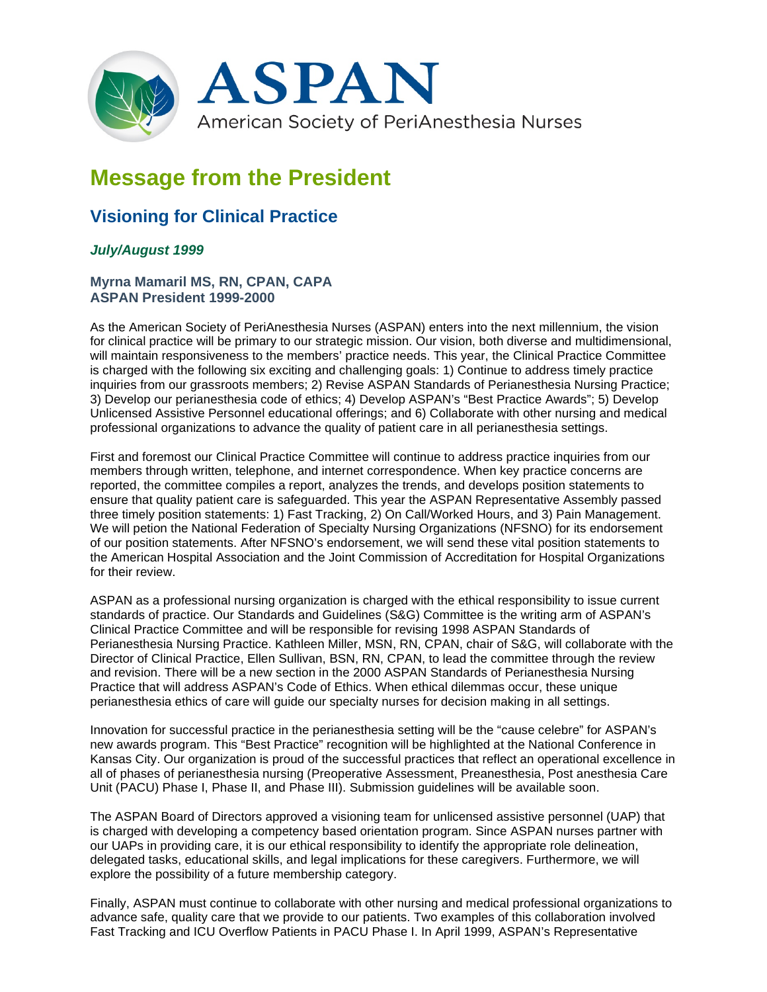

## **Message from the President**

## **Visioning for Clinical Practice**

## *July/August 1999*

## **Myrna Mamaril MS, RN, CPAN, CAPA ASPAN President 1999-2000**

As the American Society of PeriAnesthesia Nurses (ASPAN) enters into the next millennium, the vision for clinical practice will be primary to our strategic mission. Our vision, both diverse and multidimensional, will maintain responsiveness to the members' practice needs. This year, the Clinical Practice Committee is charged with the following six exciting and challenging goals: 1) Continue to address timely practice inquiries from our grassroots members; 2) Revise ASPAN Standards of Perianesthesia Nursing Practice; 3) Develop our perianesthesia code of ethics; 4) Develop ASPAN's "Best Practice Awards"; 5) Develop Unlicensed Assistive Personnel educational offerings; and 6) Collaborate with other nursing and medical professional organizations to advance the quality of patient care in all perianesthesia settings.

First and foremost our Clinical Practice Committee will continue to address practice inquiries from our members through written, telephone, and internet correspondence. When key practice concerns are reported, the committee compiles a report, analyzes the trends, and develops position statements to ensure that quality patient care is safeguarded. This year the ASPAN Representative Assembly passed three timely position statements: 1) Fast Tracking, 2) On Call/Worked Hours, and 3) Pain Management. We will petion the National Federation of Specialty Nursing Organizations (NFSNO) for its endorsement of our position statements. After NFSNO's endorsement, we will send these vital position statements to the American Hospital Association and the Joint Commission of Accreditation for Hospital Organizations for their review.

ASPAN as a professional nursing organization is charged with the ethical responsibility to issue current standards of practice. Our Standards and Guidelines (S&G) Committee is the writing arm of ASPAN's Clinical Practice Committee and will be responsible for revising 1998 ASPAN Standards of Perianesthesia Nursing Practice. Kathleen Miller, MSN, RN, CPAN, chair of S&G, will collaborate with the Director of Clinical Practice, Ellen Sullivan, BSN, RN, CPAN, to lead the committee through the review and revision. There will be a new section in the 2000 ASPAN Standards of Perianesthesia Nursing Practice that will address ASPAN's Code of Ethics. When ethical dilemmas occur, these unique perianesthesia ethics of care will guide our specialty nurses for decision making in all settings.

Innovation for successful practice in the perianesthesia setting will be the "cause celebre" for ASPAN's new awards program. This "Best Practice" recognition will be highlighted at the National Conference in Kansas City. Our organization is proud of the successful practices that reflect an operational excellence in all of phases of perianesthesia nursing (Preoperative Assessment, Preanesthesia, Post anesthesia Care Unit (PACU) Phase I, Phase II, and Phase III). Submission guidelines will be available soon.

The ASPAN Board of Directors approved a visioning team for unlicensed assistive personnel (UAP) that is charged with developing a competency based orientation program. Since ASPAN nurses partner with our UAPs in providing care, it is our ethical responsibility to identify the appropriate role delineation, delegated tasks, educational skills, and legal implications for these caregivers. Furthermore, we will explore the possibility of a future membership category.

Finally, ASPAN must continue to collaborate with other nursing and medical professional organizations to advance safe, quality care that we provide to our patients. Two examples of this collaboration involved Fast Tracking and ICU Overflow Patients in PACU Phase I. In April 1999, ASPAN's Representative